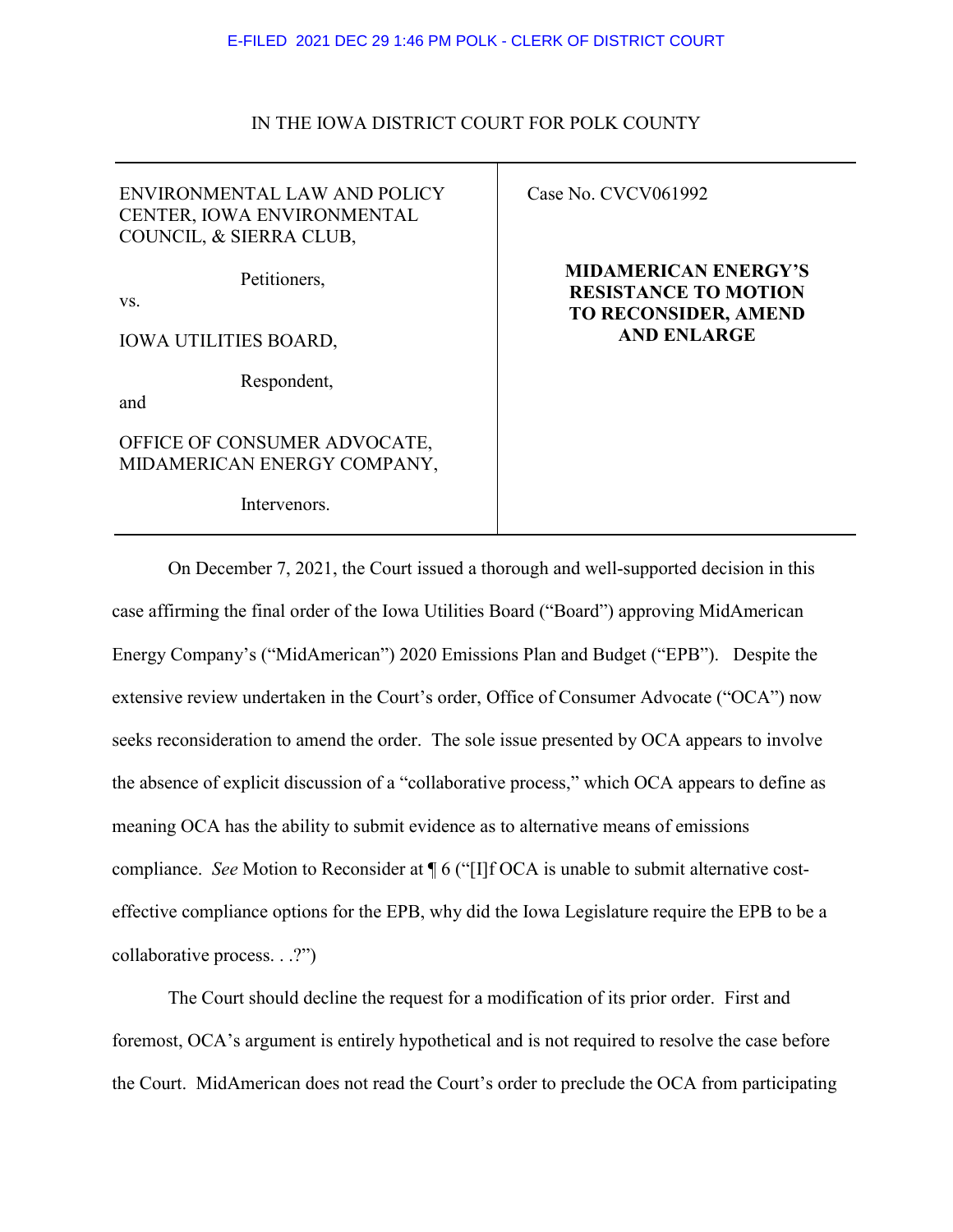## E-FILED 2021 DEC 29 1:46 PM POLK - CLERK OF DISTRICT COURT

## IN THE IOWA DISTRICT COURT FOR POLK COUNTY

ENVIRONMENTAL LAW AND POLICY CENTER, IOWA ENVIRONMENTAL COUNCIL, & SIERRA CLUB,

Petitioners,

vs.

IOWA UTILITIES BOARD,

Respondent,

and

OFFICE OF CONSUMER ADVOCATE, MIDAMERICAN ENERGY COMPANY,

Intervenors.

Case No. CVCV061992

**MIDAMERICAN ENERGY'S RESISTANCE TO MOTION TO RECONSIDER, AMEND AND ENLARGE**

On December 7, 2021, the Court issued a thorough and well-supported decision in this case affirming the final order of the Iowa Utilities Board ("Board") approving MidAmerican Energy Company's ("MidAmerican") 2020 Emissions Plan and Budget ("EPB"). Despite the extensive review undertaken in the Court's order, Office of Consumer Advocate ("OCA") now seeks reconsideration to amend the order. The sole issue presented by OCA appears to involve the absence of explicit discussion of a "collaborative process," which OCA appears to define as meaning OCA has the ability to submit evidence as to alternative means of emissions compliance. *See* Motion to Reconsider at ¶ 6 ("[I]f OCA is unable to submit alternative costeffective compliance options for the EPB, why did the Iowa Legislature require the EPB to be a collaborative process. . .?")

The Court should decline the request for a modification of its prior order. First and foremost, OCA's argument is entirely hypothetical and is not required to resolve the case before the Court. MidAmerican does not read the Court's order to preclude the OCA from participating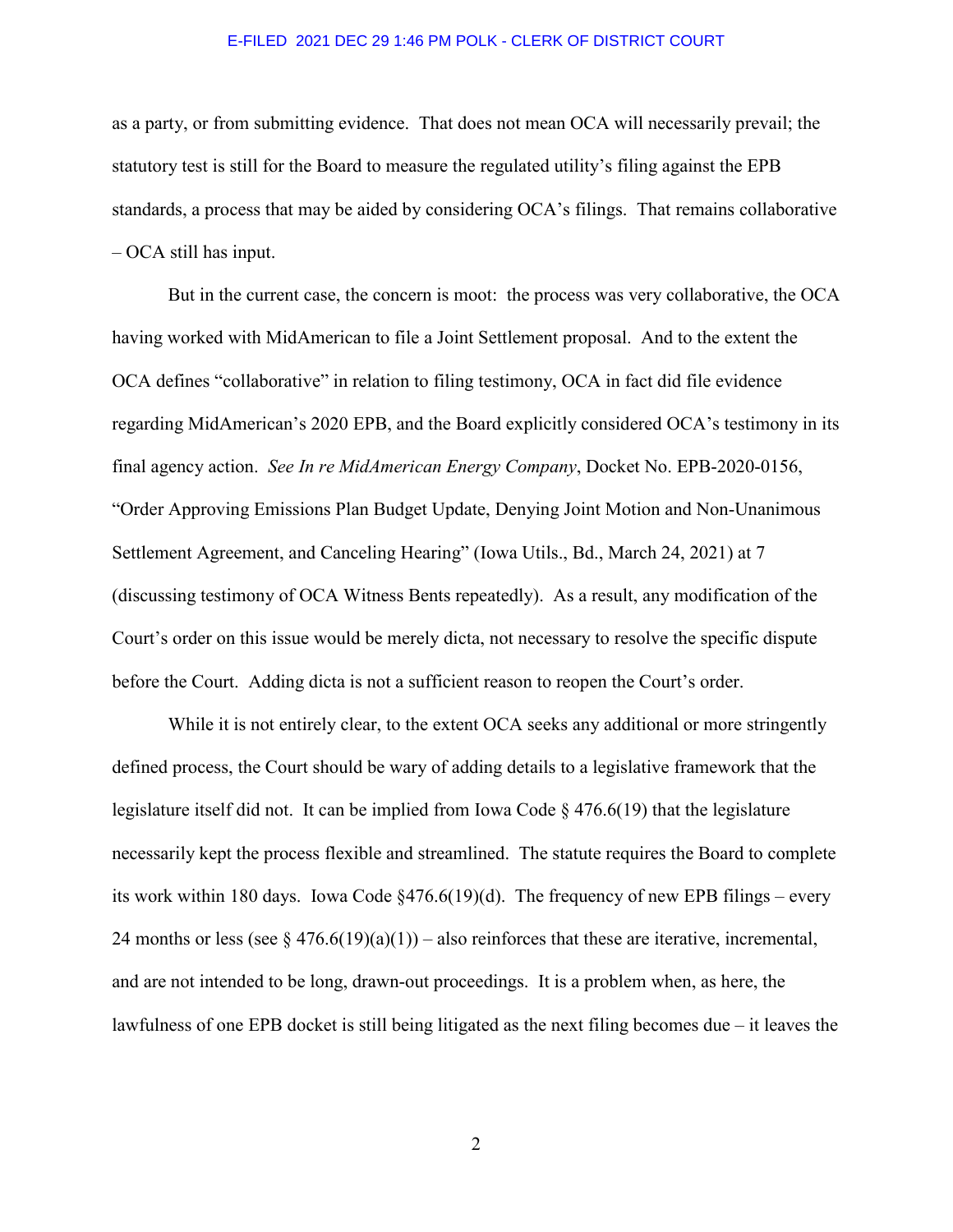#### E-FILED 2021 DEC 29 1:46 PM POLK - CLERK OF DISTRICT COURT

as a party, or from submitting evidence. That does not mean OCA will necessarily prevail; the statutory test is still for the Board to measure the regulated utility's filing against the EPB standards, a process that may be aided by considering OCA's filings. That remains collaborative – OCA still has input.

But in the current case, the concern is moot: the process was very collaborative, the OCA having worked with MidAmerican to file a Joint Settlement proposal. And to the extent the OCA defines "collaborative" in relation to filing testimony, OCA in fact did file evidence regarding MidAmerican's 2020 EPB, and the Board explicitly considered OCA's testimony in its final agency action. *See In re MidAmerican Energy Company*, Docket No. EPB-2020-0156, "Order Approving Emissions Plan Budget Update, Denying Joint Motion and Non-Unanimous Settlement Agreement, and Canceling Hearing" (Iowa Utils., Bd., March 24, 2021) at 7 (discussing testimony of OCA Witness Bents repeatedly). As a result, any modification of the Court's order on this issue would be merely dicta, not necessary to resolve the specific dispute before the Court. Adding dicta is not a sufficient reason to reopen the Court's order.

While it is not entirely clear, to the extent OCA seeks any additional or more stringently defined process, the Court should be wary of adding details to a legislative framework that the legislature itself did not. It can be implied from Iowa Code § 476.6(19) that the legislature necessarily kept the process flexible and streamlined. The statute requires the Board to complete its work within 180 days. Iowa Code §476.6(19)(d). The frequency of new EPB filings – every 24 months or less (see  $\S 476.6(19)(a)(1)$ ) – also reinforces that these are iterative, incremental, and are not intended to be long, drawn-out proceedings. It is a problem when, as here, the lawfulness of one EPB docket is still being litigated as the next filing becomes due – it leaves the

2